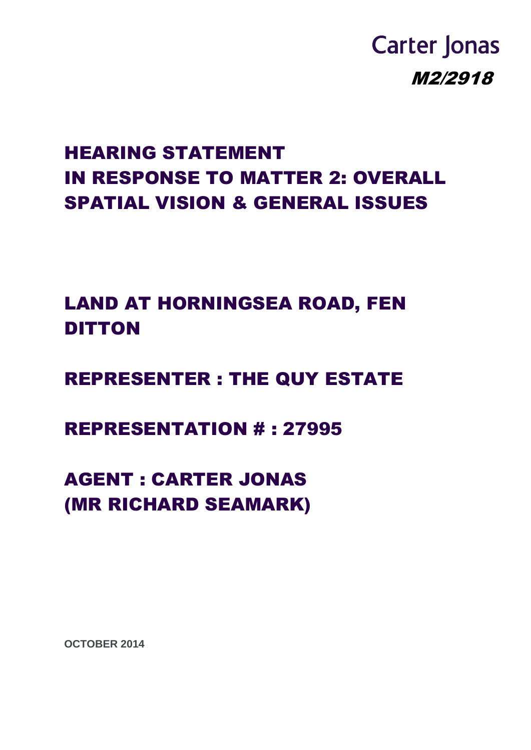# **Carter Jonas** M2/2918

## HEARING STATEMENT IN RESPONSE TO MATTER 2: OVERALL SPATIAL VISION & GENERAL ISSUES

LAND AT HORNINGSEA ROAD, FEN DITTON

REPRESENTER : THE QUY ESTATE

REPRESENTATION # : 27995

AGENT : CARTER JONAS (MR RICHARD SEAMARK)

**OCTOBER 2014**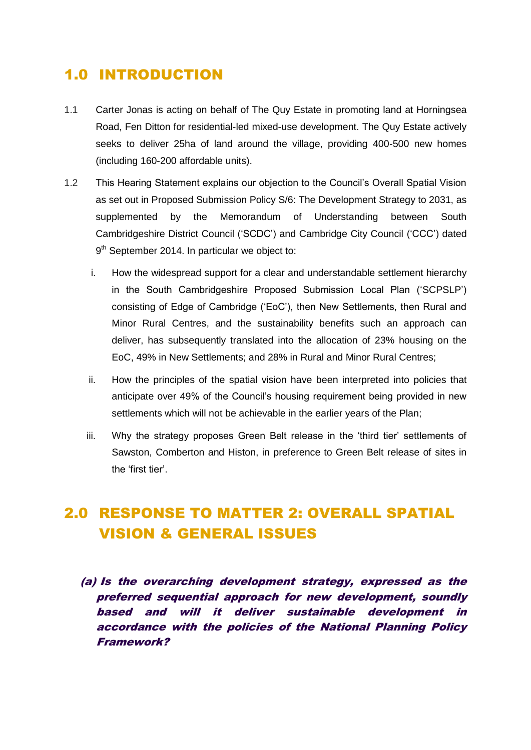### 1.0 INTRODUCTION

- 1.1 Carter Jonas is acting on behalf of The Quy Estate in promoting land at Horningsea Road, Fen Ditton for residential-led mixed-use development. The Quy Estate actively seeks to deliver 25ha of land around the village, providing 400-500 new homes (including 160-200 affordable units).
- 1.2 This Hearing Statement explains our objection to the Council's Overall Spatial Vision as set out in Proposed Submission Policy S/6: The Development Strategy to 2031, as supplemented by the Memorandum of Understanding between South Cambridgeshire District Council ('SCDC') and Cambridge City Council ('CCC') dated  $9<sup>th</sup>$  September 2014. In particular we object to:
	- i. How the widespread support for a clear and understandable settlement hierarchy in the South Cambridgeshire Proposed Submission Local Plan ('SCPSLP') consisting of Edge of Cambridge ('EoC'), then New Settlements, then Rural and Minor Rural Centres, and the sustainability benefits such an approach can deliver, has subsequently translated into the allocation of 23% housing on the EoC, 49% in New Settlements; and 28% in Rural and Minor Rural Centres;
	- ii. How the principles of the spatial vision have been interpreted into policies that anticipate over 49% of the Council's housing requirement being provided in new settlements which will not be achievable in the earlier years of the Plan;
	- iii. Why the strategy proposes Green Belt release in the 'third tier' settlements of Sawston, Comberton and Histon, in preference to Green Belt release of sites in the 'first tier'.

## 2.0 RESPONSE TO MATTER 2: OVERALL SPATIAL VISION & GENERAL ISSUES

(a) Is the overarching development strategy, expressed as the preferred sequential approach for new development, soundly based and will it deliver sustainable development in accordance with the policies of the National Planning Policy Framework?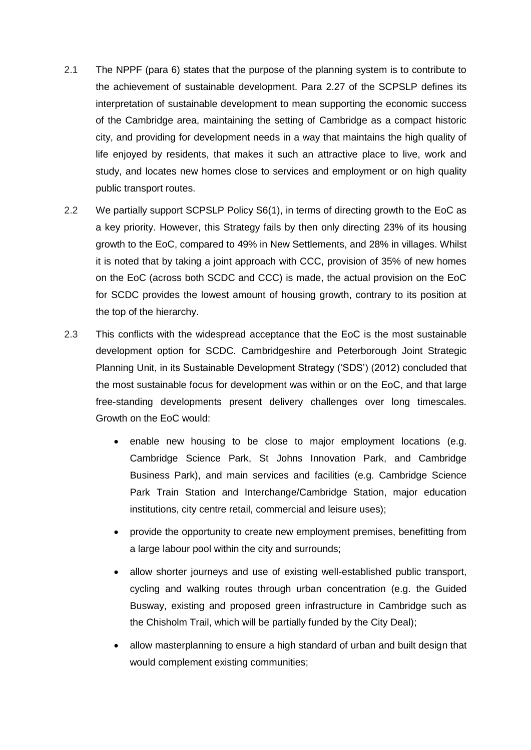- 2.1 The NPPF (para 6) states that the purpose of the planning system is to contribute to the achievement of sustainable development. Para 2.27 of the SCPSLP defines its interpretation of sustainable development to mean supporting the economic success of the Cambridge area, maintaining the setting of Cambridge as a compact historic city, and providing for development needs in a way that maintains the high quality of life enjoyed by residents, that makes it such an attractive place to live, work and study, and locates new homes close to services and employment or on high quality public transport routes.
- 2.2 We partially support SCPSLP Policy S6(1), in terms of directing growth to the EoC as a key priority. However, this Strategy fails by then only directing 23% of its housing growth to the EoC, compared to 49% in New Settlements, and 28% in villages. Whilst it is noted that by taking a joint approach with CCC, provision of 35% of new homes on the EoC (across both SCDC and CCC) is made, the actual provision on the EoC for SCDC provides the lowest amount of housing growth, contrary to its position at the top of the hierarchy.
- 2.3 This conflicts with the widespread acceptance that the EoC is the most sustainable development option for SCDC. Cambridgeshire and Peterborough Joint Strategic Planning Unit, in its Sustainable Development Strategy ('SDS') (2012) concluded that the most sustainable focus for development was within or on the EoC, and that large free-standing developments present delivery challenges over long timescales. Growth on the EoC would:
	- enable new housing to be close to major employment locations (e.g. Cambridge Science Park, St Johns Innovation Park, and Cambridge Business Park), and main services and facilities (e.g. Cambridge Science Park Train Station and Interchange/Cambridge Station, major education institutions, city centre retail, commercial and leisure uses);
	- provide the opportunity to create new employment premises, benefitting from a large labour pool within the city and surrounds;
	- allow shorter journeys and use of existing well-established public transport, cycling and walking routes through urban concentration (e.g. the Guided Busway, existing and proposed green infrastructure in Cambridge such as the Chisholm Trail, which will be partially funded by the City Deal);
	- allow masterplanning to ensure a high standard of urban and built design that would complement existing communities;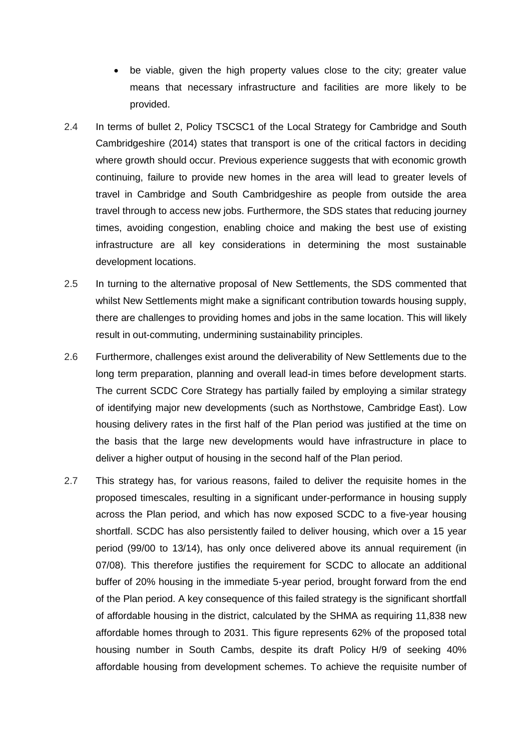- be viable, given the high property values close to the city; greater value means that necessary infrastructure and facilities are more likely to be provided.
- 2.4 In terms of bullet 2, Policy TSCSC1 of the Local Strategy for Cambridge and South Cambridgeshire (2014) states that transport is one of the critical factors in deciding where growth should occur. Previous experience suggests that with economic growth continuing, failure to provide new homes in the area will lead to greater levels of travel in Cambridge and South Cambridgeshire as people from outside the area travel through to access new jobs. Furthermore, the SDS states that reducing journey times, avoiding congestion, enabling choice and making the best use of existing infrastructure are all key considerations in determining the most sustainable development locations.
- 2.5 In turning to the alternative proposal of New Settlements, the SDS commented that whilst New Settlements might make a significant contribution towards housing supply, there are challenges to providing homes and jobs in the same location. This will likely result in out-commuting, undermining sustainability principles.
- 2.6 Furthermore, challenges exist around the deliverability of New Settlements due to the long term preparation, planning and overall lead-in times before development starts. The current SCDC Core Strategy has partially failed by employing a similar strategy of identifying major new developments (such as Northstowe, Cambridge East). Low housing delivery rates in the first half of the Plan period was justified at the time on the basis that the large new developments would have infrastructure in place to deliver a higher output of housing in the second half of the Plan period.
- 2.7 This strategy has, for various reasons, failed to deliver the requisite homes in the proposed timescales, resulting in a significant under-performance in housing supply across the Plan period, and which has now exposed SCDC to a five-year housing shortfall. SCDC has also persistently failed to deliver housing, which over a 15 year period (99/00 to 13/14), has only once delivered above its annual requirement (in 07/08). This therefore justifies the requirement for SCDC to allocate an additional buffer of 20% housing in the immediate 5-year period, brought forward from the end of the Plan period. A key consequence of this failed strategy is the significant shortfall of affordable housing in the district, calculated by the SHMA as requiring 11,838 new affordable homes through to 2031. This figure represents 62% of the proposed total housing number in South Cambs, despite its draft Policy H/9 of seeking 40% affordable housing from development schemes. To achieve the requisite number of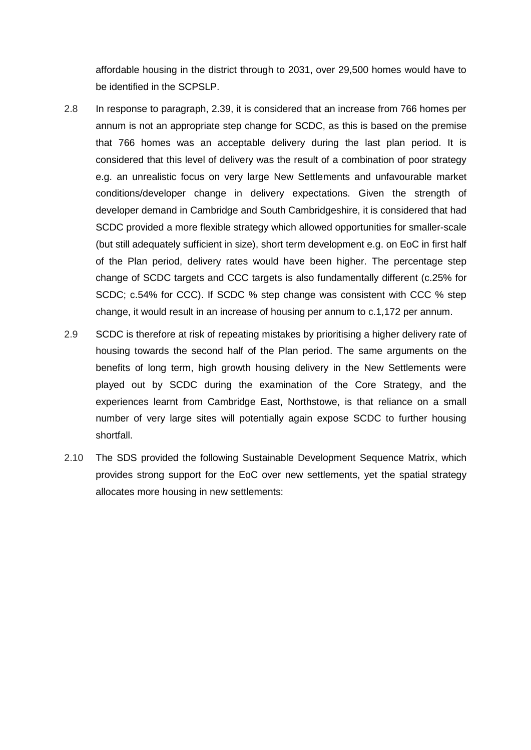affordable housing in the district through to 2031, over 29,500 homes would have to be identified in the SCPSLP.

- 2.8 In response to paragraph, 2.39, it is considered that an increase from 766 homes per annum is not an appropriate step change for SCDC, as this is based on the premise that 766 homes was an acceptable delivery during the last plan period. It is considered that this level of delivery was the result of a combination of poor strategy e.g. an unrealistic focus on very large New Settlements and unfavourable market conditions/developer change in delivery expectations. Given the strength of developer demand in Cambridge and South Cambridgeshire, it is considered that had SCDC provided a more flexible strategy which allowed opportunities for smaller-scale (but still adequately sufficient in size), short term development e.g. on EoC in first half of the Plan period, delivery rates would have been higher. The percentage step change of SCDC targets and CCC targets is also fundamentally different (c.25% for SCDC; c.54% for CCC). If SCDC % step change was consistent with CCC % step change, it would result in an increase of housing per annum to c.1,172 per annum.
- 2.9 SCDC is therefore at risk of repeating mistakes by prioritising a higher delivery rate of housing towards the second half of the Plan period. The same arguments on the benefits of long term, high growth housing delivery in the New Settlements were played out by SCDC during the examination of the Core Strategy, and the experiences learnt from Cambridge East, Northstowe, is that reliance on a small number of very large sites will potentially again expose SCDC to further housing shortfall.
- 2.10 The SDS provided the following Sustainable Development Sequence Matrix, which provides strong support for the EoC over new settlements, yet the spatial strategy allocates more housing in new settlements: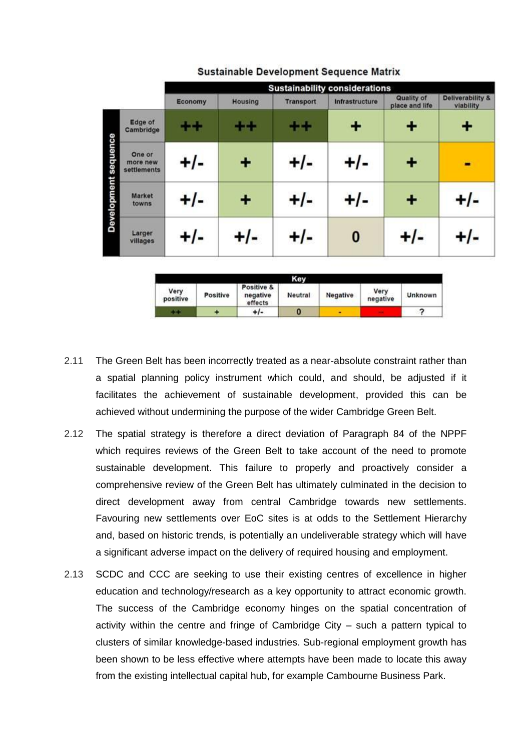|                      |                                   | <b>Sustainability considerations</b> |                |                  |                |                              |                               |  |  |  |
|----------------------|-----------------------------------|--------------------------------------|----------------|------------------|----------------|------------------------------|-------------------------------|--|--|--|
|                      |                                   | Economy                              | <b>Housing</b> | <b>Transport</b> | Infrastructure | Quality of<br>place and life | Deliverability &<br>viability |  |  |  |
| Development sequence | Edge of<br>Cambridge              | $\color{red}+$                       | ++             | $+ +$            | ٠              | ٠                            |                               |  |  |  |
|                      | One or<br>more new<br>settlements | $+/-$                                |                | $+/-$            | $+/-$          |                              |                               |  |  |  |
|                      | Market<br>towns                   | +/-                                  |                | $+/-$            | +/-            |                              | ⊦/-                           |  |  |  |
|                      | Larger<br>villages                | $+/-$                                | +/-            | $+/-$            | 0              | $+/-$                        | $-I$                          |  |  |  |

#### **Sustainable Development Sequence Matrix**

|                  |          |                                   | Kev     |          |                  |         |
|------------------|----------|-----------------------------------|---------|----------|------------------|---------|
| Very<br>positive | Positive | Positive &<br>negative<br>effects | Neutral | Negative | Very<br>negative | Unknown |
| m                |          | +/-                               | 0       |          |                  |         |

- 2.11 The Green Belt has been incorrectly treated as a near-absolute constraint rather than a spatial planning policy instrument which could, and should, be adjusted if it facilitates the achievement of sustainable development, provided this can be achieved without undermining the purpose of the wider Cambridge Green Belt.
- 2.12 The spatial strategy is therefore a direct deviation of Paragraph 84 of the NPPF which requires reviews of the Green Belt to take account of the need to promote sustainable development. This failure to properly and proactively consider a comprehensive review of the Green Belt has ultimately culminated in the decision to direct development away from central Cambridge towards new settlements. Favouring new settlements over EoC sites is at odds to the Settlement Hierarchy and, based on historic trends, is potentially an undeliverable strategy which will have a significant adverse impact on the delivery of required housing and employment.
- 2.13 SCDC and CCC are seeking to use their existing centres of excellence in higher education and technology/research as a key opportunity to attract economic growth. The success of the Cambridge economy hinges on the spatial concentration of activity within the centre and fringe of Cambridge City – such a pattern typical to clusters of similar knowledge-based industries. Sub-regional employment growth has been shown to be less effective where attempts have been made to locate this away from the existing intellectual capital hub, for example Cambourne Business Park.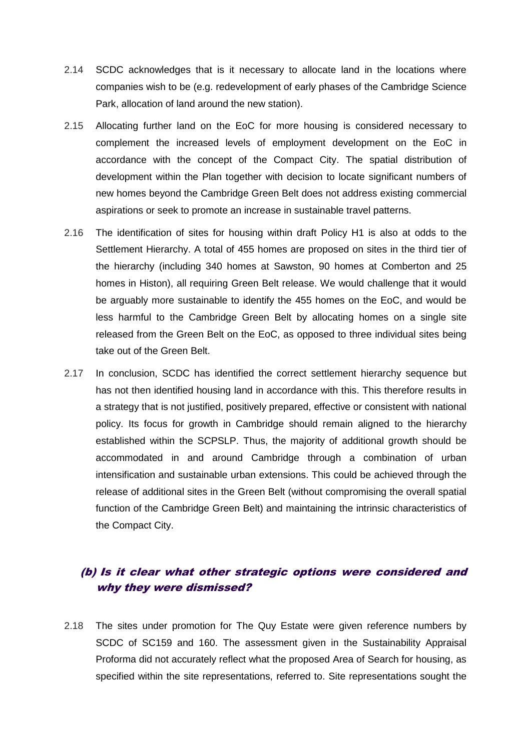- 2.14 SCDC acknowledges that is it necessary to allocate land in the locations where companies wish to be (e.g. redevelopment of early phases of the Cambridge Science Park, allocation of land around the new station).
- 2.15 Allocating further land on the EoC for more housing is considered necessary to complement the increased levels of employment development on the EoC in accordance with the concept of the Compact City. The spatial distribution of development within the Plan together with decision to locate significant numbers of new homes beyond the Cambridge Green Belt does not address existing commercial aspirations or seek to promote an increase in sustainable travel patterns.
- 2.16 The identification of sites for housing within draft Policy H1 is also at odds to the Settlement Hierarchy. A total of 455 homes are proposed on sites in the third tier of the hierarchy (including 340 homes at Sawston, 90 homes at Comberton and 25 homes in Histon), all requiring Green Belt release. We would challenge that it would be arguably more sustainable to identify the 455 homes on the EoC, and would be less harmful to the Cambridge Green Belt by allocating homes on a single site released from the Green Belt on the EoC, as opposed to three individual sites being take out of the Green Belt.
- 2.17 In conclusion, SCDC has identified the correct settlement hierarchy sequence but has not then identified housing land in accordance with this. This therefore results in a strategy that is not justified, positively prepared, effective or consistent with national policy. Its focus for growth in Cambridge should remain aligned to the hierarchy established within the SCPSLP. Thus, the majority of additional growth should be accommodated in and around Cambridge through a combination of urban intensification and sustainable urban extensions. This could be achieved through the release of additional sites in the Green Belt (without compromising the overall spatial function of the Cambridge Green Belt) and maintaining the intrinsic characteristics of the Compact City.

#### (b) Is it clear what other strategic options were considered and why they were dismissed?

2.18 The sites under promotion for The Quy Estate were given reference numbers by SCDC of SC159 and 160. The assessment given in the Sustainability Appraisal Proforma did not accurately reflect what the proposed Area of Search for housing, as specified within the site representations, referred to. Site representations sought the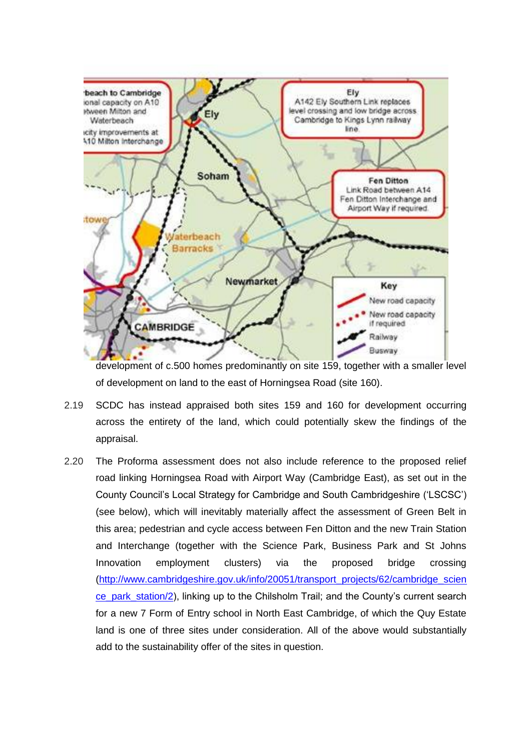

development of c.500 homes predominantly on site 159, together with a smaller level of development on land to the east of Horningsea Road (site 160).

- 2.19 SCDC has instead appraised both sites 159 and 160 for development occurring across the entirety of the land, which could potentially skew the findings of the appraisal.
- 2.20 The Proforma assessment does not also include reference to the proposed relief road linking Horningsea Road with Airport Way (Cambridge East), as set out in the County Council's Local Strategy for Cambridge and South Cambridgeshire ('LSCSC') (see below), which will inevitably materially affect the assessment of Green Belt in this area; pedestrian and cycle access between Fen Ditton and the new Train Station and Interchange (together with the Science Park, Business Park and St Johns Innovation employment clusters) via the proposed bridge crossing [\(http://www.cambridgeshire.gov.uk/info/20051/transport\\_projects/62/cambridge\\_scien](http://www.cambridgeshire.gov.uk/info/20051/transport_projects/62/cambridge_science_park_station/2) [ce\\_park\\_station/2\)](http://www.cambridgeshire.gov.uk/info/20051/transport_projects/62/cambridge_science_park_station/2), linking up to the Chilsholm Trail; and the County's current search for a new 7 Form of Entry school in North East Cambridge, of which the Quy Estate land is one of three sites under consideration. All of the above would substantially add to the sustainability offer of the sites in question.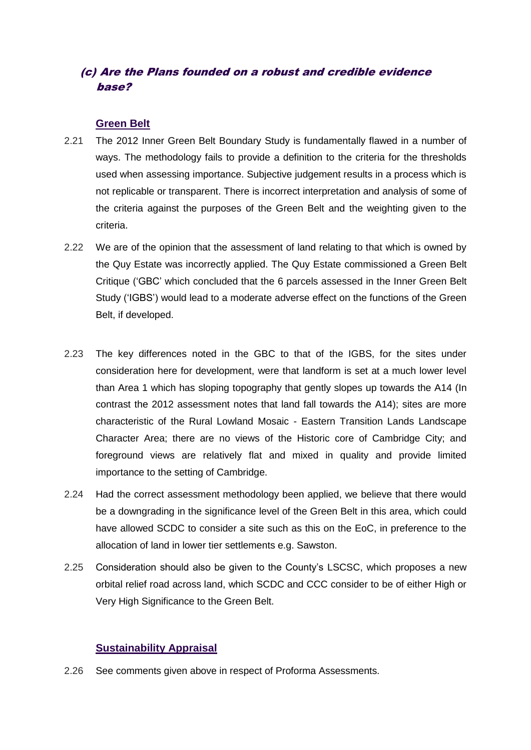#### (c) Are the Plans founded on a robust and credible evidence base?

#### **Green Belt**

- 2.21 The 2012 Inner Green Belt Boundary Study is fundamentally flawed in a number of ways. The methodology fails to provide a definition to the criteria for the thresholds used when assessing importance. Subjective judgement results in a process which is not replicable or transparent. There is incorrect interpretation and analysis of some of the criteria against the purposes of the Green Belt and the weighting given to the criteria.
- 2.22 We are of the opinion that the assessment of land relating to that which is owned by the Quy Estate was incorrectly applied. The Quy Estate commissioned a Green Belt Critique ('GBC' which concluded that the 6 parcels assessed in the Inner Green Belt Study ('IGBS') would lead to a moderate adverse effect on the functions of the Green Belt, if developed.
- 2.23 The key differences noted in the GBC to that of the IGBS, for the sites under consideration here for development, were that landform is set at a much lower level than Area 1 which has sloping topography that gently slopes up towards the A14 (In contrast the 2012 assessment notes that land fall towards the A14); sites are more characteristic of the Rural Lowland Mosaic - Eastern Transition Lands Landscape Character Area; there are no views of the Historic core of Cambridge City; and foreground views are relatively flat and mixed in quality and provide limited importance to the setting of Cambridge.
- 2.24 Had the correct assessment methodology been applied, we believe that there would be a downgrading in the significance level of the Green Belt in this area, which could have allowed SCDC to consider a site such as this on the EoC, in preference to the allocation of land in lower tier settlements e.g. Sawston.
- 2.25 Consideration should also be given to the County's LSCSC, which proposes a new orbital relief road across land, which SCDC and CCC consider to be of either High or Very High Significance to the Green Belt.

#### **Sustainability Appraisal**

2.26 See comments given above in respect of Proforma Assessments.